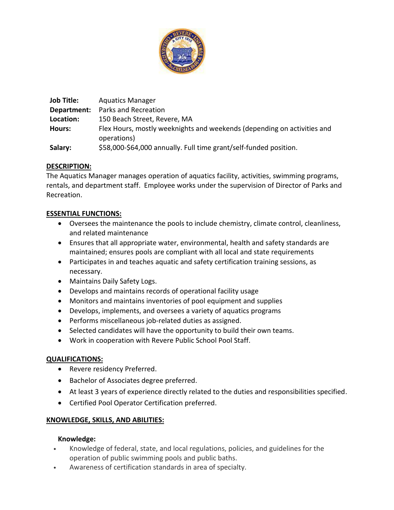

| <b>Job Title:</b> | <b>Aquatics Manager</b>                                                 |
|-------------------|-------------------------------------------------------------------------|
| Department:       | Parks and Recreation                                                    |
| Location:         | 150 Beach Street, Revere, MA                                            |
| Hours:            | Flex Hours, mostly weeknights and weekends (depending on activities and |
|                   | operations)                                                             |
| Salary:           | \$58,000-\$64,000 annually. Full time grant/self-funded position.       |

# **DESCRIPTION:**

The Aquatics Manager manages operation of aquatics facility, activities, swimming programs, rentals, and department staff. Employee works under the supervision of Director of Parks and Recreation.

# **ESSENTIAL FUNCTIONS:**

- Oversees the maintenance the pools to include chemistry, climate control, cleanliness, and related maintenance
- Ensures that all appropriate water, environmental, health and safety standards are maintained; ensures pools are compliant with all local and state requirements
- Participates in and teaches aquatic and safety certification training sessions, as necessary.
- Maintains Daily Safety Logs.
- Develops and maintains records of operational facility usage
- Monitors and maintains inventories of pool equipment and supplies
- Develops, implements, and oversees a variety of aquatics programs
- Performs miscellaneous job-related duties as assigned.
- Selected candidates will have the opportunity to build their own teams.
- Work in cooperation with Revere Public School Pool Staff.

# **QUALIFICATIONS:**

- Revere residency Preferred.
- Bachelor of Associates degree preferred.
- At least 3 years of experience directly related to the duties and responsibilities specified.
- Certified Pool Operator Certification preferred.

# **KNOWLEDGE, SKILLS, AND ABILITIES:**

## **Knowledge:**

- Knowledge of federal, state, and local regulations, policies, and guidelines for the operation of public swimming pools and public baths.
- Awareness of certification standards in area of specialty.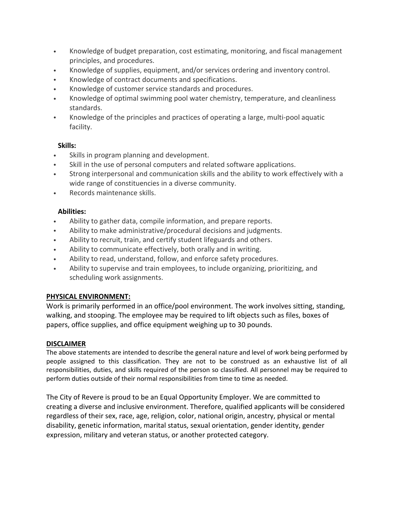- Knowledge of budget preparation, cost estimating, monitoring, and fiscal management principles, and procedures.
- Knowledge of supplies, equipment, and/or services ordering and inventory control.
- Knowledge of contract documents and specifications.
- Knowledge of customer service standards and procedures.
- Knowledge of optimal swimming pool water chemistry, temperature, and cleanliness standards.
- Knowledge of the principles and practices of operating a large, multi-pool aquatic facility.

# **Skills:**

- Skills in program planning and development.
- Skill in the use of personal computers and related software applications.
- Strong interpersonal and communication skills and the ability to work effectively with a wide range of constituencies in a diverse community.
- Records maintenance skills.

# **Abilities:**

- Ability to gather data, compile information, and prepare reports.
- Ability to make administrative/procedural decisions and judgments.
- Ability to recruit, train, and certify student lifeguards and others.
- Ability to communicate effectively, both orally and in writing.
- Ability to read, understand, follow, and enforce safety procedures.
- Ability to supervise and train employees, to include organizing, prioritizing, and scheduling work assignments.

## **PHYSICAL ENVIRONMENT:**

Work is primarily performed in an office/pool environment. The work involves sitting, standing, walking, and stooping. The employee may be required to lift objects such as files, boxes of papers, office supplies, and office equipment weighing up to 30 pounds.

# **DISCLAIMER**

The above statements are intended to describe the general nature and level of work being performed by people assigned to this classification. They are not to be construed as an exhaustive list of all responsibilities, duties, and skills required of the person so classified. All personnel may be required to perform duties outside of their normal responsibilities from time to time as needed.

The City of Revere is proud to be an Equal Opportunity Employer. We are committed to creating a diverse and inclusive environment. Therefore, qualified applicants will be considered regardless of their sex, race, age, religion, color, national origin, ancestry, physical or mental disability, genetic information, marital status, sexual orientation, gender identity, gender expression, military and veteran status, or another protected category.